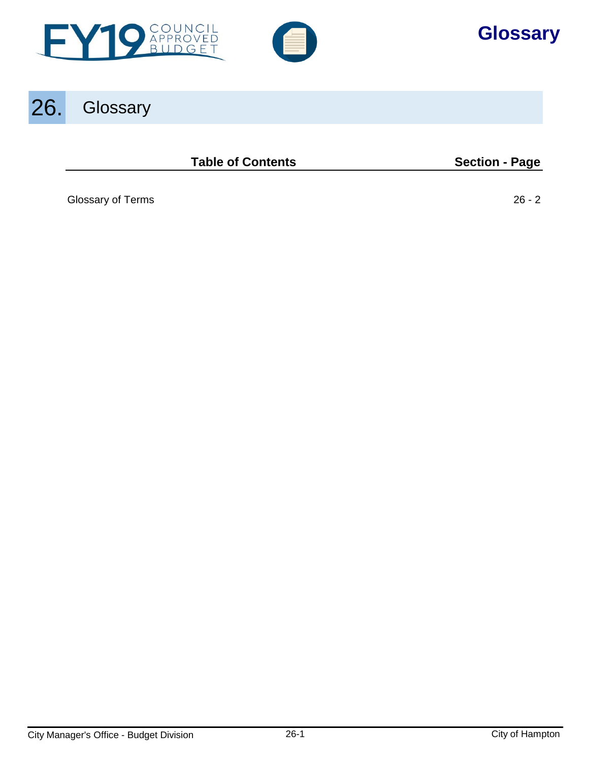



# **Glossary**

# 26. Glossary

**Table of Contents Section - Page** 

[Glossary of Terms 26 - 2](#page-1-0)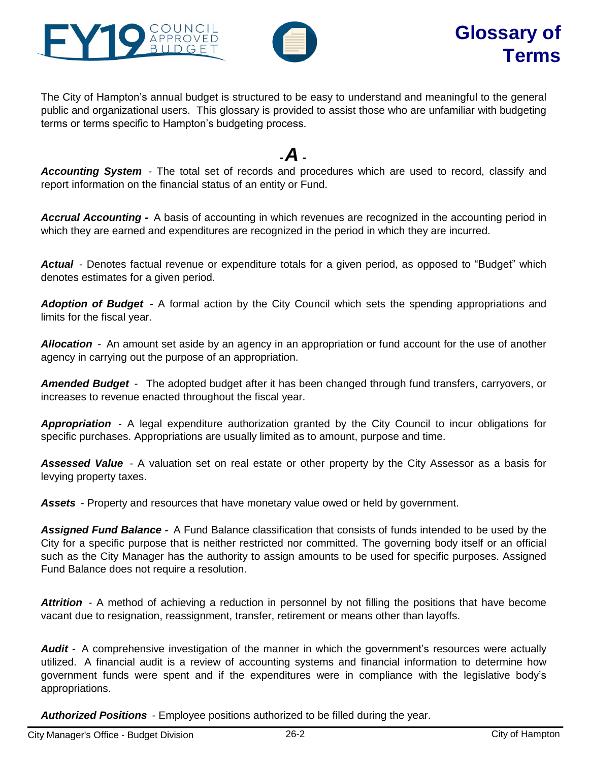<span id="page-1-0"></span>



The City of Hampton's annual budget is structured to be easy to understand and meaningful to the general public and organizational users. This glossary is provided to assist those who are unfamiliar with budgeting terms or terms specific to Hampton's budgeting process.

## *-A -*

*Accounting System* - The total set of records and procedures which are used to record, classify and report information on the financial status of an entity or Fund.

*Accrual Accounting -* A basis of accounting in which revenues are recognized in the accounting period in which they are earned and expenditures are recognized in the period in which they are incurred.

*Actual* - Denotes factual revenue or expenditure totals for a given period, as opposed to "Budget" which denotes estimates for a given period.

*Adoption of Budget* - A formal action by the City Council which sets the spending appropriations and limits for the fiscal year.

*Allocation* - An amount set aside by an agency in an appropriation or fund account for the use of another agency in carrying out the purpose of an appropriation.

*Amended Budget* - The adopted budget after it has been changed through fund transfers, carryovers, or increases to revenue enacted throughout the fiscal year.

*Appropriation* - A legal expenditure authorization granted by the City Council to incur obligations for specific purchases. Appropriations are usually limited as to amount, purpose and time.

*Assessed Value* - A valuation set on real estate or other property by the City Assessor as a basis for levying property taxes.

*Assets* - Property and resources that have monetary value owed or held by government.

*Assigned Fund Balance -* A Fund Balance classification that consists of funds intended to be used by the City for a specific purpose that is neither restricted nor committed. The governing body itself or an official such as the City Manager has the authority to assign amounts to be used for specific purposes. Assigned Fund Balance does not require a resolution.

Attrition - A method of achieving a reduction in personnel by not filling the positions that have become vacant due to resignation, reassignment, transfer, retirement or means other than layoffs.

*Audit -* A comprehensive investigation of the manner in which the government's resources were actually utilized. A financial audit is a review of accounting systems and financial information to determine how government funds were spent and if the expenditures were in compliance with the legislative body's appropriations.

*Authorized Positions* - Employee positions authorized to be filled during the year.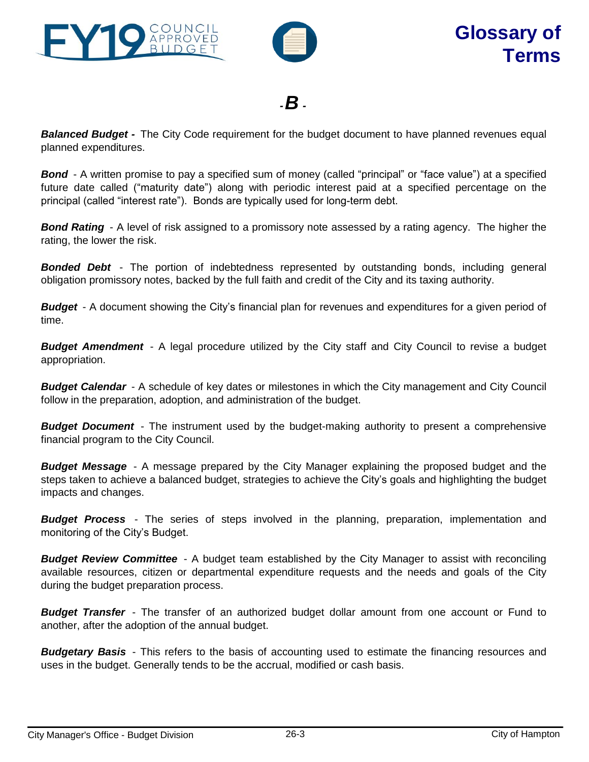



*-B -*

*Balanced Budget -* The City Code requirement for the budget document to have planned revenues equal planned expenditures.

**Bond** - A written promise to pay a specified sum of money (called "principal" or "face value") at a specified future date called ("maturity date") along with periodic interest paid at a specified percentage on the principal (called "interest rate"). Bonds are typically used for long-term debt.

*Bond Rating* - A level of risk assigned to a promissory note assessed by a rating agency. The higher the rating, the lower the risk.

*Bonded Debt* - The portion of indebtedness represented by outstanding bonds, including general obligation promissory notes, backed by the full faith and credit of the City and its taxing authority.

*Budget* - A document showing the City's financial plan for revenues and expenditures for a given period of time.

*Budget Amendment* - A legal procedure utilized by the City staff and City Council to revise a budget appropriation.

*Budget Calendar* - A schedule of key dates or milestones in which the City management and City Council follow in the preparation, adoption, and administration of the budget.

*Budget Document* - The instrument used by the budget-making authority to present a comprehensive financial program to the City Council.

*Budget Message* - A message prepared by the City Manager explaining the proposed budget and the steps taken to achieve a balanced budget, strategies to achieve the City's goals and highlighting the budget impacts and changes.

*Budget Process* - The series of steps involved in the planning, preparation, implementation and monitoring of the City's Budget.

*Budget Review Committee* - A budget team established by the City Manager to assist with reconciling available resources, citizen or departmental expenditure requests and the needs and goals of the City during the budget preparation process.

*Budget Transfer* - The transfer of an authorized budget dollar amount from one account or Fund to another, after the adoption of the annual budget.

*Budgetary Basis* - This refers to the basis of accounting used to estimate the financing resources and uses in the budget. Generally tends to be the accrual, modified or cash basis.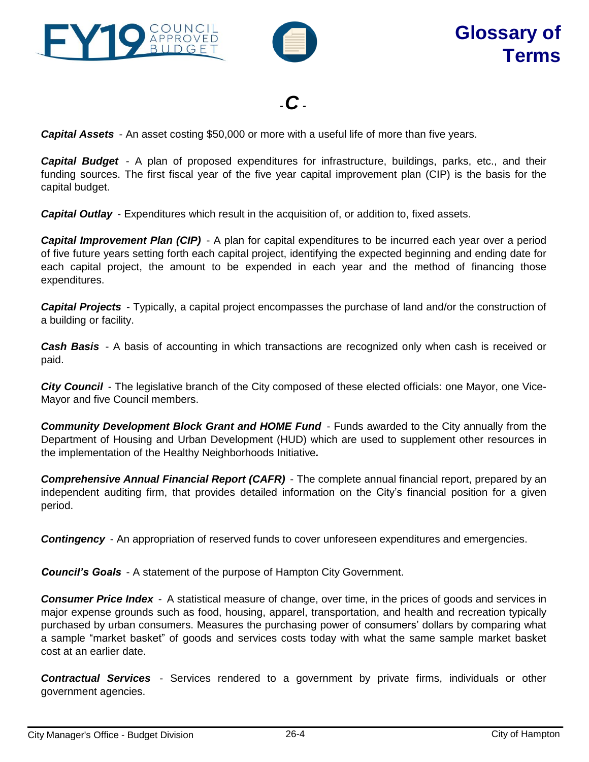



*-C -*

*Capital Assets* - An asset costing \$50,000 or more with a useful life of more than five years.

*Capital Budget* - A plan of proposed expenditures for infrastructure, buildings, parks, etc., and their funding sources. The first fiscal year of the five year capital improvement plan (CIP) is the basis for the capital budget.

*Capital Outlay* - Expenditures which result in the acquisition of, or addition to, fixed assets.

*Capital Improvement Plan (CIP)* - A plan for capital expenditures to be incurred each year over a period of five future years setting forth each capital project, identifying the expected beginning and ending date for each capital project, the amount to be expended in each year and the method of financing those expenditures.

*Capital Projects* - Typically, a capital project encompasses the purchase of land and/or the construction of a building or facility.

*Cash Basis* - A basis of accounting in which transactions are recognized only when cash is received or paid.

*City Council* - The legislative branch of the City composed of these elected officials: one Mayor, one Vice-Mayor and five Council members.

*Community Development Block Grant and HOME Fund* - Funds awarded to the City annually from the Department of Housing and Urban Development (HUD) which are used to supplement other resources in the implementation of the Healthy Neighborhoods Initiative*.*

*Comprehensive Annual Financial Report (CAFR)* - The complete annual financial report, prepared by an independent auditing firm, that provides detailed information on the City's financial position for a given period.

*Contingency* - An appropriation of reserved funds to cover unforeseen expenditures and emergencies.

*Council's Goals* - A statement of the purpose of Hampton City Government.

*Consumer Price Index* - A statistical measure of change, over time, in the prices of goods and services in major expense grounds such as food, housing, apparel, transportation, and health and recreation typically purchased by urban consumers. Measures the purchasing power of consumers' dollars by comparing what a sample "market basket" of goods and services costs today with what the same sample market basket cost at an earlier date.

*Contractual Services* - Services rendered to a government by private firms, individuals or other government agencies.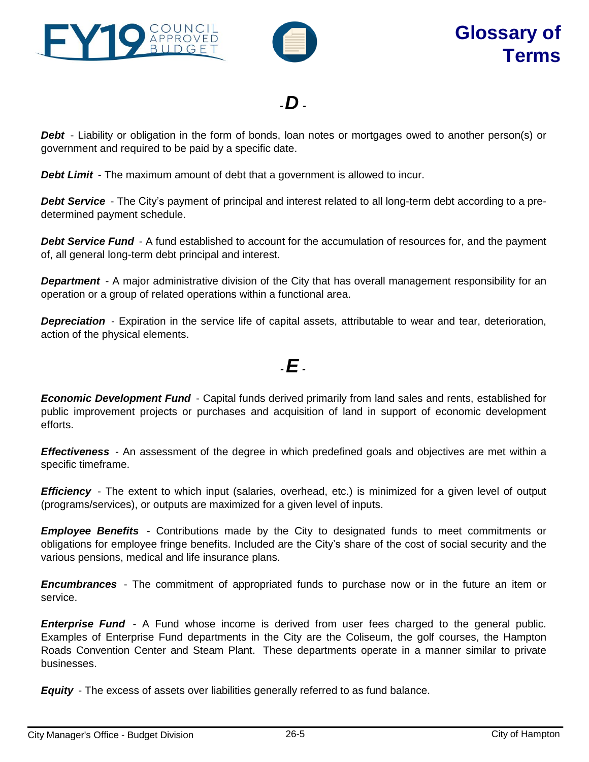



*-D -*

*Debt* - Liability or obligation in the form of bonds, loan notes or mortgages owed to another person(s) or government and required to be paid by a specific date.

**Debt Limit** - The maximum amount of debt that a government is allowed to incur.

*Debt Service* - The City's payment of principal and interest related to all long-term debt according to a predetermined payment schedule.

*Debt Service Fund* - A fund established to account for the accumulation of resources for, and the payment of, all general long-term debt principal and interest.

**Department** - A major administrative division of the City that has overall management responsibility for an operation or a group of related operations within a functional area.

*Depreciation* - Expiration in the service life of capital assets, attributable to wear and tear, deterioration, action of the physical elements.

*-E -*

*Economic Development Fund* - Capital funds derived primarily from land sales and rents, established for public improvement projects or purchases and acquisition of land in support of economic development efforts.

*Effectiveness* - An assessment of the degree in which predefined goals and objectives are met within a specific timeframe.

**Efficiency** - The extent to which input (salaries, overhead, etc.) is minimized for a given level of output (programs/services), or outputs are maximized for a given level of inputs.

*Employee Benefits* - Contributions made by the City to designated funds to meet commitments or obligations for employee fringe benefits. Included are the City's share of the cost of social security and the various pensions, medical and life insurance plans.

*Encumbrances* - The commitment of appropriated funds to purchase now or in the future an item or service.

*Enterprise Fund* - A Fund whose income is derived from user fees charged to the general public. Examples of Enterprise Fund departments in the City are the Coliseum, the golf courses, the Hampton Roads Convention Center and Steam Plant. These departments operate in a manner similar to private businesses.

*Equity* - The excess of assets over liabilities generally referred to as fund balance.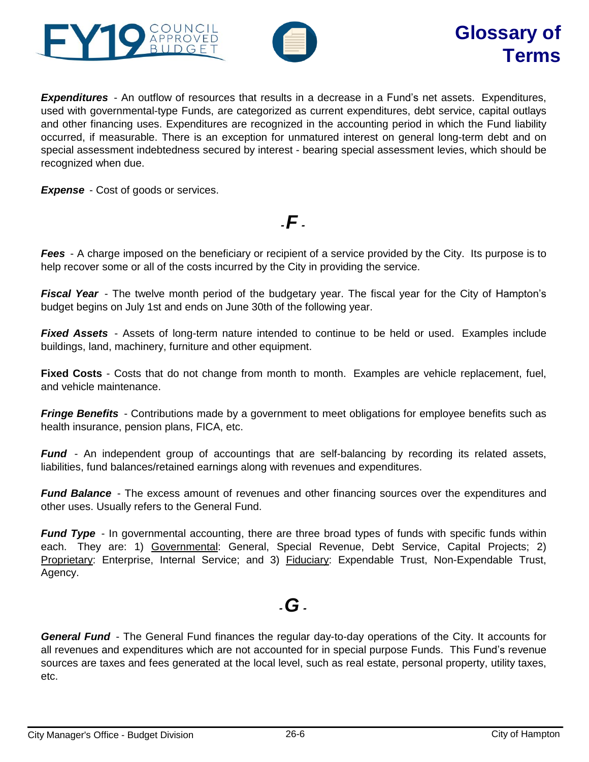



*Expenditures* - An outflow of resources that results in a decrease in a Fund's net assets. Expenditures, used with governmental-type Funds, are categorized as current expenditures, debt service, capital outlays and other financing uses. Expenditures are recognized in the accounting period in which the Fund liability occurred, if measurable. There is an exception for unmatured interest on general long-term debt and on special assessment indebtedness secured by interest - bearing special assessment levies, which should be recognized when due.

**Expense** - Cost of goods or services.

*Fees* - A charge imposed on the beneficiary or recipient of a service provided by the City. Its purpose is to help recover some or all of the costs incurred by the City in providing the service.

*-F -*

*Fiscal Year* - The twelve month period of the budgetary year. The fiscal year for the City of Hampton's budget begins on July 1st and ends on June 30th of the following year.

**Fixed Assets** - Assets of long-term nature intended to continue to be held or used. Examples include buildings, land, machinery, furniture and other equipment.

**Fixed Costs** - Costs that do not change from month to month. Examples are vehicle replacement, fuel, and vehicle maintenance.

*Fringe Benefits* - Contributions made by a government to meet obligations for employee benefits such as health insurance, pension plans, FICA, etc.

*Fund* - An independent group of accountings that are self-balancing by recording its related assets, liabilities, fund balances/retained earnings along with revenues and expenditures.

*Fund Balance* - The excess amount of revenues and other financing sources over the expenditures and other uses. Usually refers to the General Fund.

*Fund Type* - In governmental accounting, there are three broad types of funds with specific funds within each. They are: 1) Governmental: General, Special Revenue, Debt Service, Capital Projects; 2) Proprietary: Enterprise, Internal Service; and 3) Fiduciary: Expendable Trust, Non-Expendable Trust, Agency.

# *-G -*

*General Fund* - The General Fund finances the regular day-to-day operations of the City. It accounts for all revenues and expenditures which are not accounted for in special purpose Funds. This Fund's revenue sources are taxes and fees generated at the local level, such as real estate, personal property, utility taxes, etc.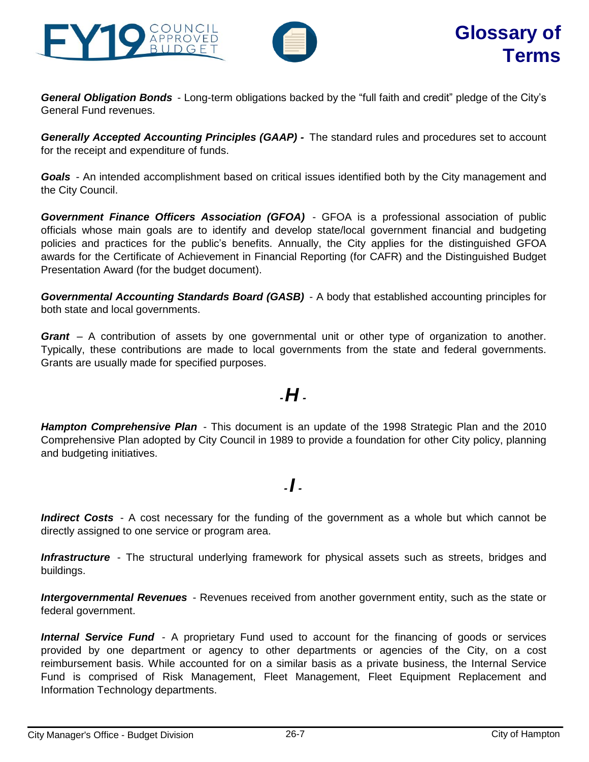



*General Obligation Bonds* - Long-term obligations backed by the "full faith and credit" pledge of the City's General Fund revenues.

*Generally Accepted Accounting Principles (GAAP) -* The standard rules and procedures set to account for the receipt and expenditure of funds.

*Goals* - An intended accomplishment based on critical issues identified both by the City management and the City Council.

*Government Finance Officers Association (GFOA)* - GFOA is a professional association of public officials whose main goals are to identify and develop state/local government financial and budgeting policies and practices for the public's benefits. Annually, the City applies for the distinguished GFOA awards for the Certificate of Achievement in Financial Reporting (for CAFR) and the Distinguished Budget Presentation Award (for the budget document).

*Governmental Accounting Standards Board (GASB)* - A body that established accounting principles for both state and local governments.

*Grant* – A contribution of assets by one governmental unit or other type of organization to another. Typically, these contributions are made to local governments from the state and federal governments. Grants are usually made for specified purposes.

#### *-H -*

*Hampton Comprehensive Plan* - This document is an update of the 1998 Strategic Plan and the 2010 Comprehensive Plan adopted by City Council in 1989 to provide a foundation for other City policy, planning and budgeting initiatives.

#### *- I -*

*Indirect Costs* - A cost necessary for the funding of the government as a whole but which cannot be directly assigned to one service or program area.

**Infrastructure** - The structural underlying framework for physical assets such as streets, bridges and buildings.

*Intergovernmental Revenues* - Revenues received from another government entity, such as the state or federal government.

*Internal Service Fund* - A proprietary Fund used to account for the financing of goods or services provided by one department or agency to other departments or agencies of the City, on a cost reimbursement basis. While accounted for on a similar basis as a private business, the Internal Service Fund is comprised of Risk Management, Fleet Management, Fleet Equipment Replacement and Information Technology departments.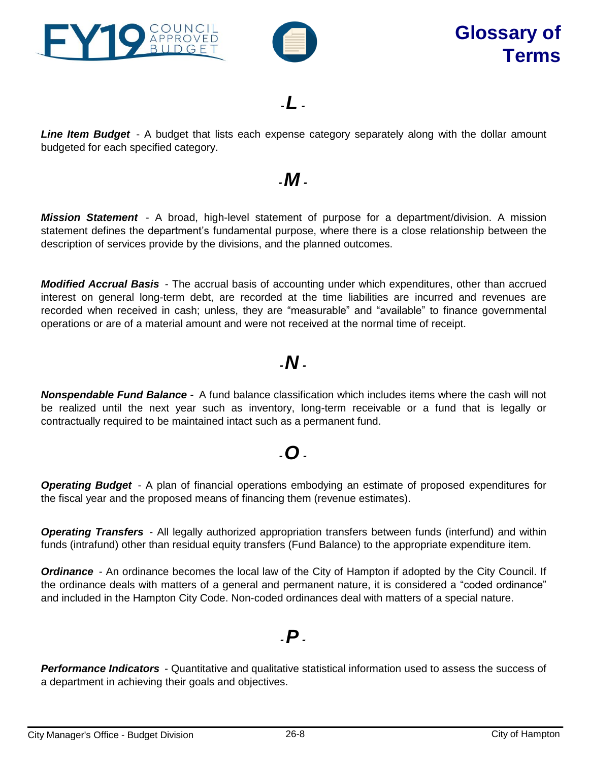



*-L -*

*Line Item Budget* - A budget that lists each expense category separately along with the dollar amount budgeted for each specified category.

#### *-M -*

*Mission Statement* - A broad, high-level statement of purpose for a department/division. A mission statement defines the department's fundamental purpose, where there is a close relationship between the description of services provide by the divisions, and the planned outcomes.

*Modified Accrual Basis* - The accrual basis of accounting under which expenditures, other than accrued interest on general long-term debt, are recorded at the time liabilities are incurred and revenues are recorded when received in cash; unless, they are "measurable" and "available" to finance governmental operations or are of a material amount and were not received at the normal time of receipt.

## *-N -*

*Nonspendable Fund Balance -* A fund balance classification which includes items where the cash will not be realized until the next year such as inventory, long-term receivable or a fund that is legally or contractually required to be maintained intact such as a permanent fund.

## *-O -*

*Operating Budget* - A plan of financial operations embodying an estimate of proposed expenditures for the fiscal year and the proposed means of financing them (revenue estimates).

*Operating Transfers* - All legally authorized appropriation transfers between funds (interfund) and within funds (intrafund) other than residual equity transfers (Fund Balance) to the appropriate expenditure item.

**Ordinance** - An ordinance becomes the local law of the City of Hampton if adopted by the City Council. If the ordinance deals with matters of a general and permanent nature, it is considered a "coded ordinance" and included in the Hampton City Code. Non-coded ordinances deal with matters of a special nature.

#### *-P -*

*Performance Indicators* - Quantitative and qualitative statistical information used to assess the success of a department in achieving their goals and objectives.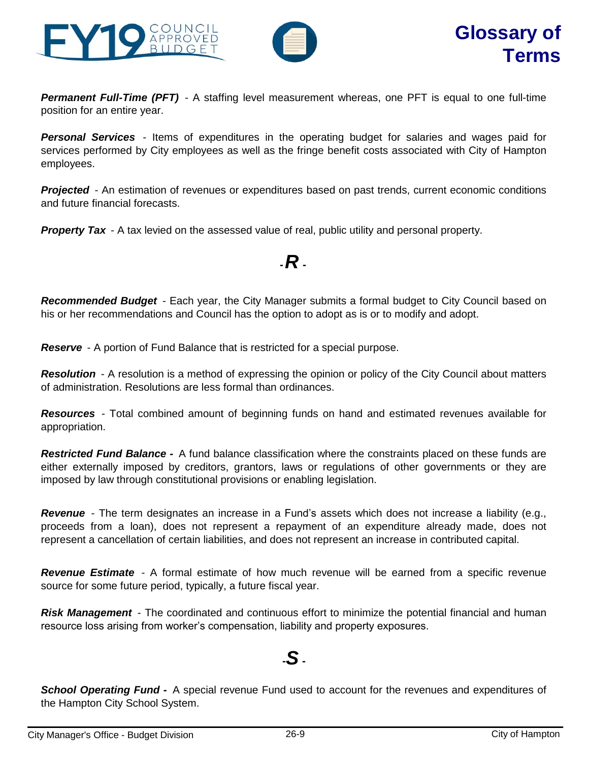



*Permanent Full-Time (PFT)* - A staffing level measurement whereas, one PFT is equal to one full-time position for an entire year.

*Personal Services* - Items of expenditures in the operating budget for salaries and wages paid for services performed by City employees as well as the fringe benefit costs associated with City of Hampton employees.

**Projected** - An estimation of revenues or expenditures based on past trends, current economic conditions and future financial forecasts.

**Property Tax** - A tax levied on the assessed value of real, public utility and personal property.

#### *-R -*

*Recommended Budget* - Each year, the City Manager submits a formal budget to City Council based on his or her recommendations and Council has the option to adopt as is or to modify and adopt.

*Reserve* - A portion of Fund Balance that is restricted for a special purpose.

**Resolution** - A resolution is a method of expressing the opinion or policy of the City Council about matters of administration. Resolutions are less formal than ordinances.

*Resources* - Total combined amount of beginning funds on hand and estimated revenues available for appropriation.

*Restricted Fund Balance -* A fund balance classification where the constraints placed on these funds are either externally imposed by creditors, grantors, laws or regulations of other governments or they are imposed by law through constitutional provisions or enabling legislation.

*Revenue* - The term designates an increase in a Fund's assets which does not increase a liability (e.g., proceeds from a loan), does not represent a repayment of an expenditure already made, does not represent a cancellation of certain liabilities, and does not represent an increase in contributed capital.

*Revenue Estimate* - A formal estimate of how much revenue will be earned from a specific revenue source for some future period, typically, a future fiscal year.

*Risk Management* - The coordinated and continuous effort to minimize the potential financial and human resource loss arising from worker's compensation, liability and property exposures.

#### **-***S* **-**

*School Operating Fund -* A special revenue Fund used to account for the revenues and expenditures of the Hampton City School System.